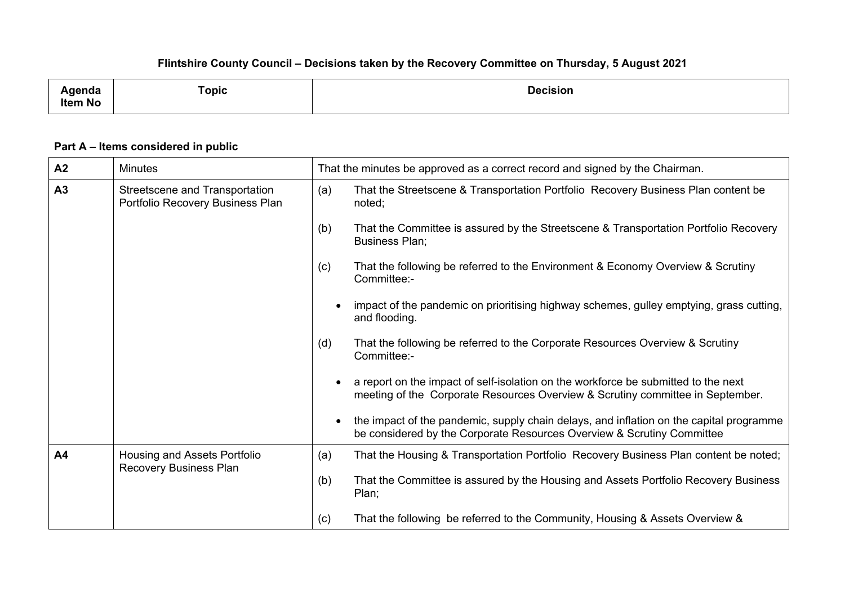## **Flintshire County Council – Decisions taken by the Recovery Committee on Thursday, 5 August 2021**

| _____<br>∖qenda<br><b>Item No</b> | Горіс | <b>Decision</b> |
|-----------------------------------|-------|-----------------|
|                                   |       |                 |

## **Part A – Items considered in public**

| A <sub>2</sub> | <b>Minutes</b>                                                     | That the minutes be approved as a correct record and signed by the Chairman.                                                                                                   |
|----------------|--------------------------------------------------------------------|--------------------------------------------------------------------------------------------------------------------------------------------------------------------------------|
| A3             | Streetscene and Transportation<br>Portfolio Recovery Business Plan | That the Streetscene & Transportation Portfolio Recovery Business Plan content be<br>(a)<br>noted;                                                                             |
|                |                                                                    | That the Committee is assured by the Streetscene & Transportation Portfolio Recovery<br>(b)<br><b>Business Plan:</b>                                                           |
|                |                                                                    | That the following be referred to the Environment & Economy Overview & Scrutiny<br>(c)<br>Committee:-                                                                          |
|                |                                                                    | impact of the pandemic on prioritising highway schemes, gulley emptying, grass cutting,<br>$\bullet$<br>and flooding.                                                          |
|                |                                                                    | That the following be referred to the Corporate Resources Overview & Scrutiny<br>(d)<br>Committee:-                                                                            |
|                |                                                                    | a report on the impact of self-isolation on the workforce be submitted to the next<br>meeting of the Corporate Resources Overview & Scrutiny committee in September.           |
|                |                                                                    | the impact of the pandemic, supply chain delays, and inflation on the capital programme<br>$\bullet$<br>be considered by the Corporate Resources Overview & Scrutiny Committee |
| A4             | Housing and Assets Portfolio<br><b>Recovery Business Plan</b>      | That the Housing & Transportation Portfolio Recovery Business Plan content be noted;<br>(a)                                                                                    |
|                |                                                                    | (b)<br>That the Committee is assured by the Housing and Assets Portfolio Recovery Business<br>Plan;                                                                            |
|                |                                                                    | That the following be referred to the Community, Housing & Assets Overview &<br>(c)                                                                                            |